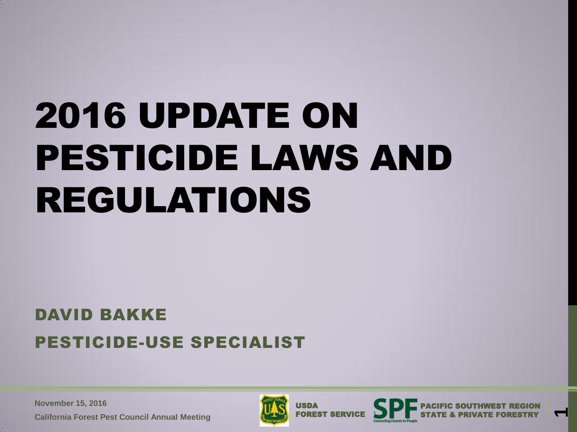# 2016 UPDATE ON PESTICIDE LAWS AND REGULATIONS

### DAVID BAKKE PESTICIDE-USE SPECIALIST

**November 15, 2016 California Forest Pest Council Annual Meeting <sup>1</sup>**



USDA





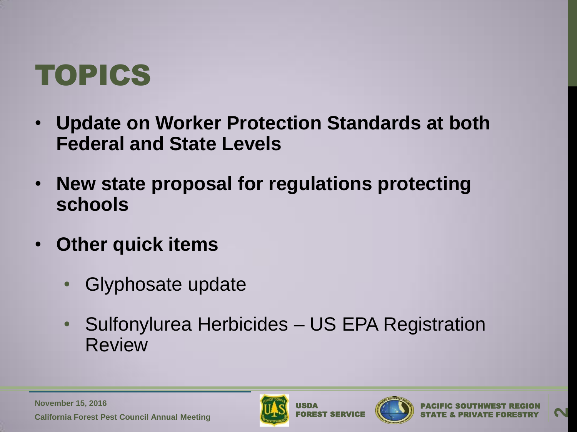## TOPICS

- **Update on Worker Protection Standards at both Federal and State Levels**
- **New state proposal for regulations protecting schools**
- **Other quick items**
	- Glyphosate update
	- Sulfonylurea Herbicides US EPA Registration Review





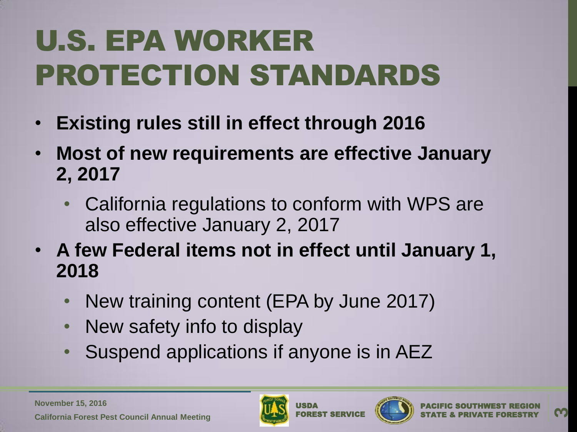## U.S. EPA WORKER PROTECTION STANDARDS

- **Existing rules still in effect through 2016**
- **Most of new requirements are effective January 2, 2017**
	- California regulations to conform with WPS are also effective January 2, 2017
- **A few Federal items not in effect until January 1, 2018**
	- New training content (EPA by June 2017)
	- New safety info to display
	- Suspend applications if anyone is in AEZ



USDA

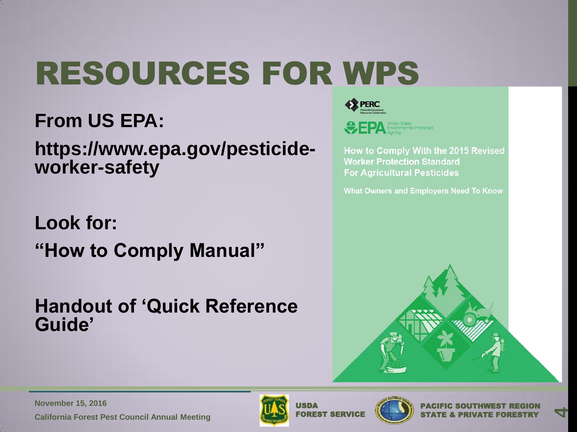# RESOURCES FOR WPS

### **From US EPA:**

**https://www.epa.gov/pesticideworker-safety**

**Look for: "How to Comply Manual"**

#### **Handout of 'Quick Reference Guide'**



How to Comply With the 2015 Revised **Worker Protection Standard For Agricultural Pesticides** 

**What Owners and Employers Need To Know** 



**November 15, 2016 California Forest Pest Council Annual Meeting**



USDA FOREST SERVICE



PACIFIC SOUTHWEST REGION STATE & PRIVATE FORESTRY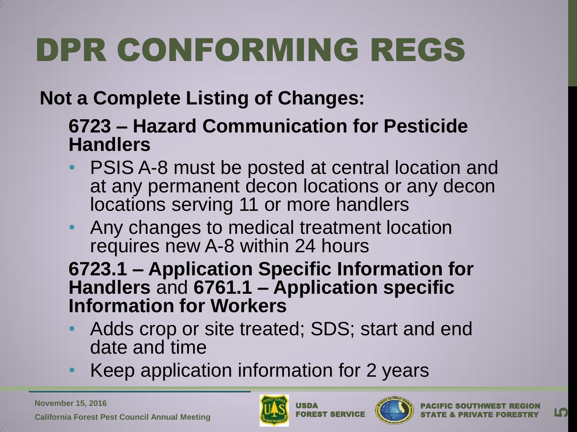# DPR CONFORMING REGS

### **Not a Complete Listing of Changes:**

### **6723 – Hazard Communication for Pesticide Handlers**

- PSIS A-8 must be posted at central location and at any permanent decon locations or any decon locations serving 11 or more handlers
- Any changes to medical treatment location requires new A-8 within 24 hours

#### **6723.1 – Application Specific Information for Handlers** and **6761.1 – Application specific Information for Workers**

- Adds crop or site treated; SDS; start and end date and time
- Keep application information for 2 years



USDA



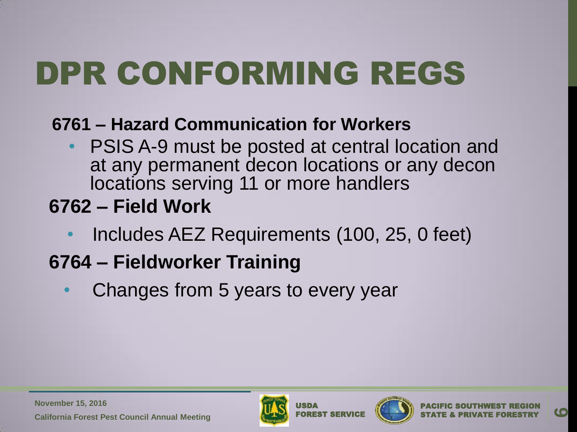# DPR CONFORMING REGS

### **6761 – Hazard Communication for Workers**

• PSIS A-9 must be posted at central location and at any permanent decon locations or any decon locations serving 11 or more handlers

### **6762 – Field Work**

• Includes AEZ Requirements (100, 25, 0 feet)

### **6764 – Fieldworker Training**

Changes from 5 years to every year



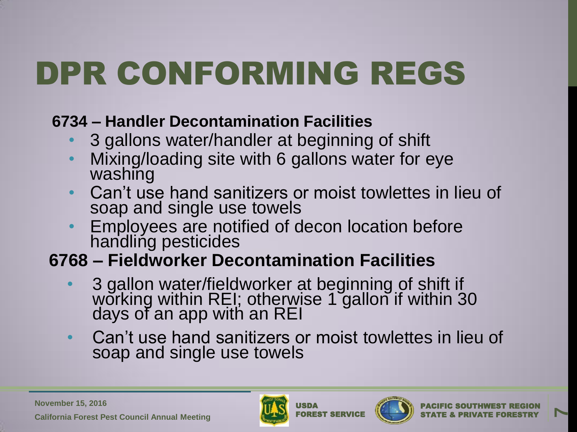# DPR CONFORMING REGS

#### **6734 – Handler Decontamination Facilities**

- 3 gallons water/handler at beginning of shift
- Mixing/loading site with 6 gallons water for eye washing
- Can't use hand sanitizers or moist towlettes in lieu of soap and single use towels
- Employees are notified of decon location before handling pesticides

### **6768 – Fieldworker Decontamination Facilities**

- 3 gallon water/fieldworker at beginning of shift if working within REI; otherwise 1 gallon if within 30 days of an app with an REI
- Can't use hand sanitizers or moist towlettes in lieu of soap and single use towels



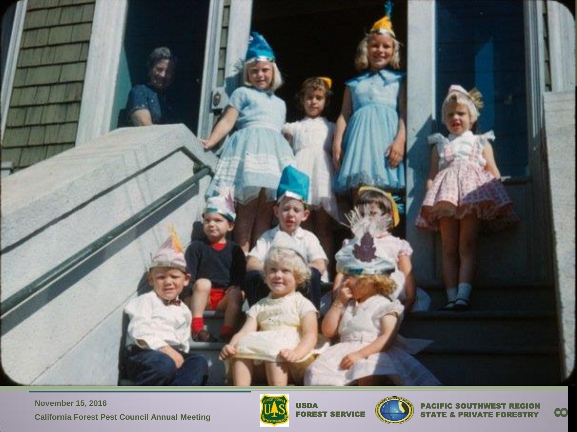

**November 15, 2016 California Forest Pest Council Annual Meeting**



USDA FOREST SERVICE



PACIFIC SOUTHWEST REGION STATE & PRIVATE FORESTRY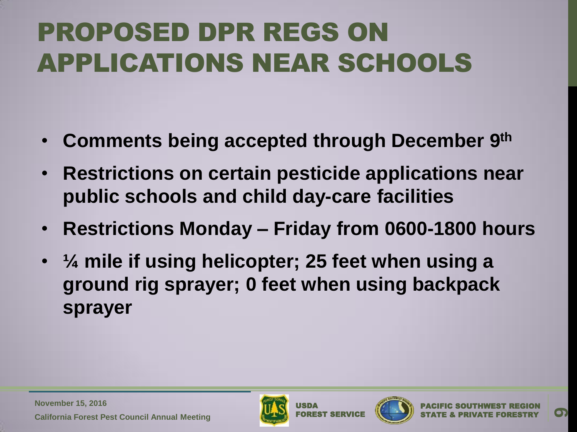### PROPOSED DPR REGS ON APPLICATIONS NEAR SCHOOLS

- **Comments being accepted through December 9th**
- **Restrictions on certain pesticide applications near public schools and child day-care facilities**
- **Restrictions Monday – Friday from 0600-1800 hours**
- **¼ mile if using helicopter; 25 feet when using a ground rig sprayer; 0 feet when using backpack sprayer**



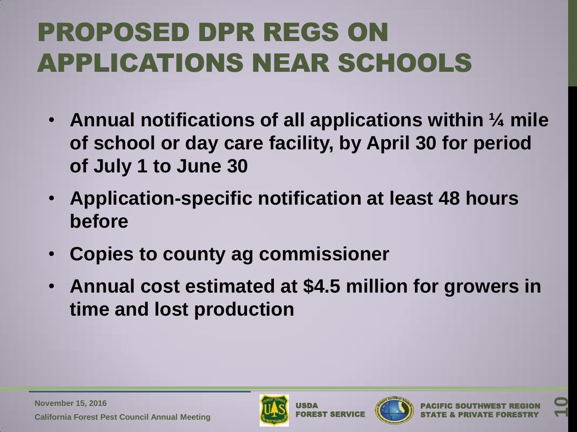### PROPOSED DPR REGS ON APPLICATIONS NEAR SCHOOLS

- **Annual notifications of all applications within ¼ mile of school or day care facility, by April 30 for period of July 1 to June 30**
- **Application-specific notification at least 48 hours before**
- **Copies to county ag commissioner**
- **Annual cost estimated at \$4.5 million for growers in time and lost production**



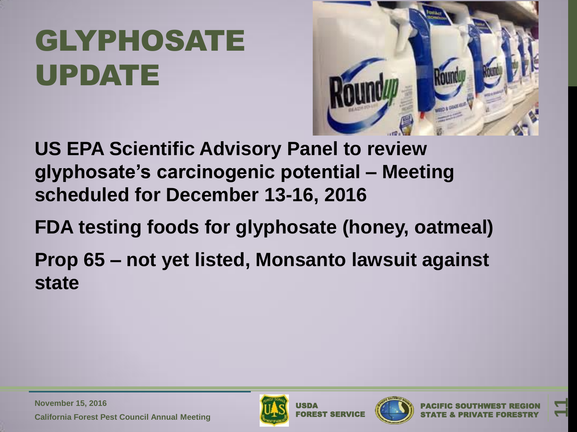## GLYPHOSATE UPDATE



**US EPA Scientific Advisory Panel to review glyphosate's carcinogenic potential – Meeting scheduled for December 13-16, 2016**

**FDA testing foods for glyphosate (honey, oatmeal) Prop 65 – not yet listed, Monsanto lawsuit against state**



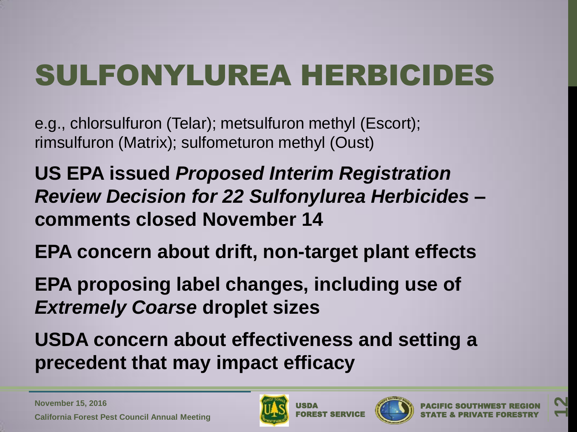## SULFONYLUREA HERBICIDES

e.g., chlorsulfuron (Telar); metsulfuron methyl (Escort); rimsulfuron (Matrix); sulfometuron methyl (Oust)

**US EPA issued** *Proposed Interim Registration Review Decision for 22 Sulfonylurea Herbicides* **– comments closed November 14**

**EPA concern about drift, non-target plant effects**

**EPA proposing label changes, including use of**  *Extremely Coarse* **droplet sizes**

**USDA concern about effectiveness and setting a precedent that may impact efficacy**



USDA



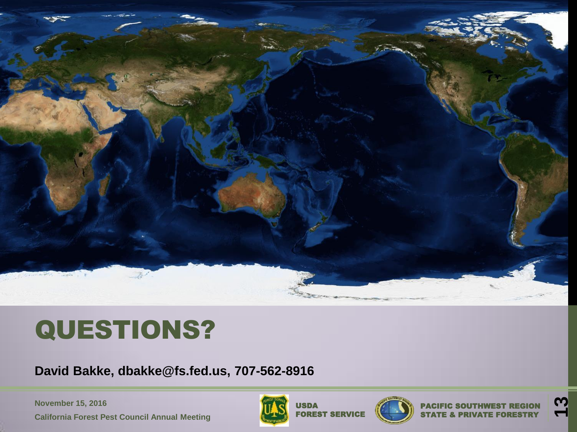

### QUESTIONS?

**David Bakke, dbakke@fs.fed.us, 707-562-8916**

**November 15, 2016 California Forest Pest Council Annual Meeting**



USDA FOREST SERVICE



PACIFIC SOUTHWEST REGION STATE & PRIVATE FORESTRY

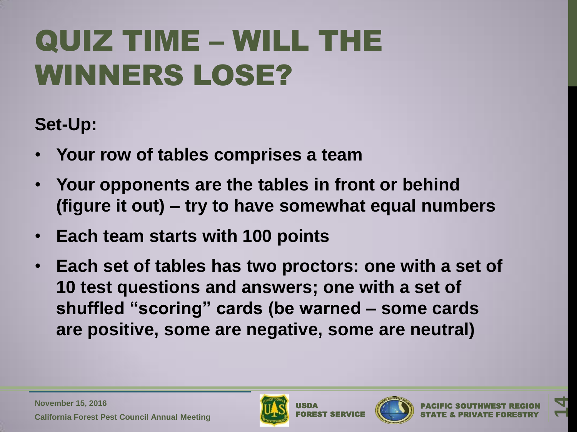## QUIZ TIME – WILL THE WINNERS LOSE?

#### **Set-Up:**

- **Your row of tables comprises a team**
- **Your opponents are the tables in front or behind (figure it out) – try to have somewhat equal numbers**
- **Each team starts with 100 points**
- **Each set of tables has two proctors: one with a set of 10 test questions and answers; one with a set of shuffled "scoring" cards (be warned – some cards are positive, some are negative, some are neutral)**